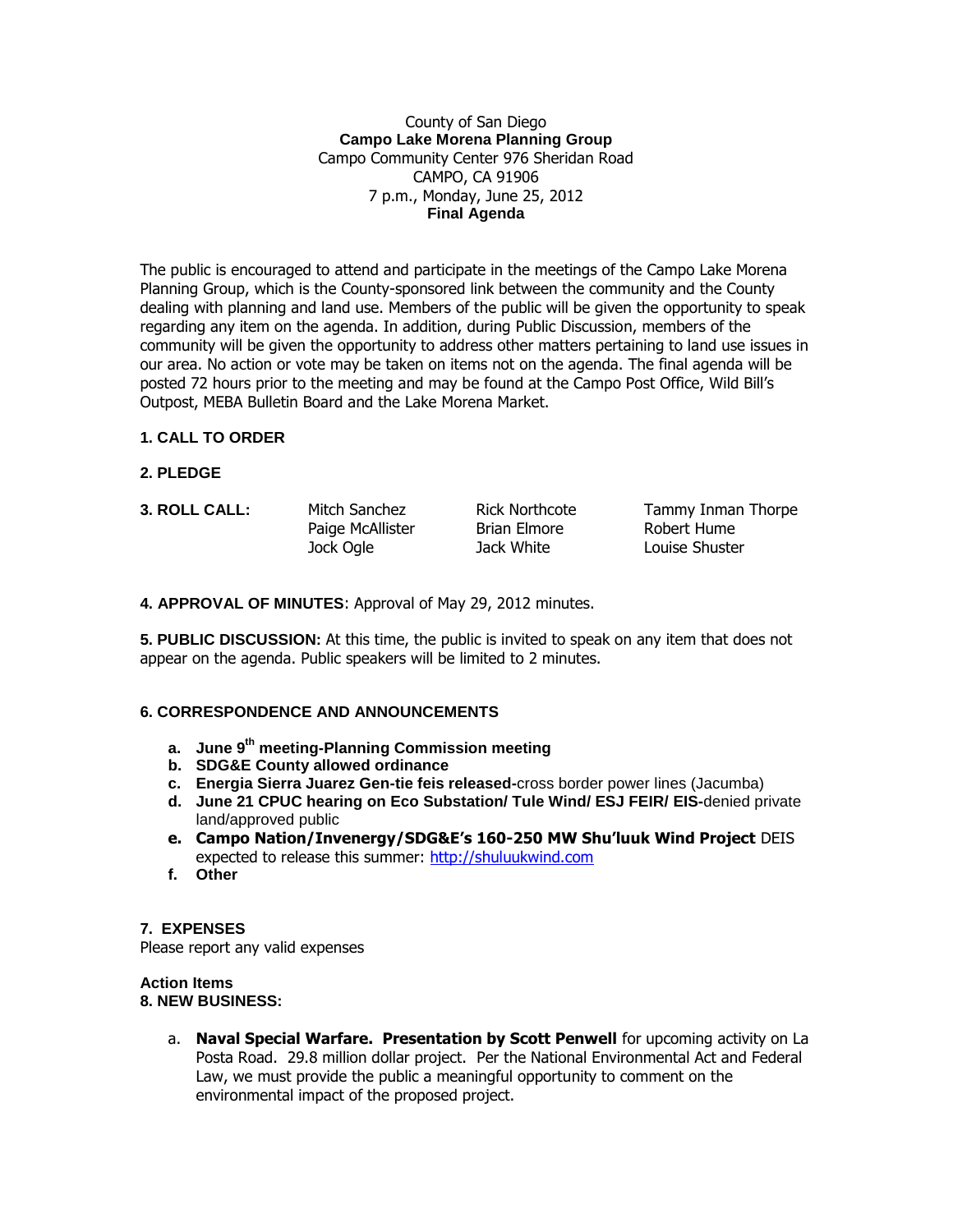## County of San Diego **Campo Lake Morena Planning Group** Campo Community Center 976 Sheridan Road CAMPO, CA 91906 7 p.m., Monday, June 25, 2012 **Final Agenda**

The public is encouraged to attend and participate in the meetings of the Campo Lake Morena Planning Group, which is the County-sponsored link between the community and the County dealing with planning and land use. Members of the public will be given the opportunity to speak regarding any item on the agenda. In addition, during Public Discussion, members of the community will be given the opportunity to address other matters pertaining to land use issues in our area. No action or vote may be taken on items not on the agenda. The final agenda will be posted 72 hours prior to the meeting and may be found at the Campo Post Office, Wild Bill's Outpost, MEBA Bulletin Board and the Lake Morena Market.

# **1. CALL TO ORDER**

- **2. PLEDGE**
- 

Paige McAllister Brian Elmore Robert Hume Jock Ogle Jack White Louise Shuster

**3. ROLL CALL:** Mitch Sanchez Rick Northcote Tammy Inman Thorpe

**4. APPROVAL OF MINUTES**: Approval of May 29, 2012 minutes.

**5. PUBLIC DISCUSSION:** At this time, the public is invited to speak on any item that does not appear on the agenda. Public speakers will be limited to 2 minutes.

### **6. CORRESPONDENCE AND ANNOUNCEMENTS**

- **a. June 9th meeting-Planning Commission meeting**
- **b. SDG&E County allowed ordinance**
- **c. Energia Sierra Juarez Gen-tie feis released-**cross border power lines (Jacumba)
- **d. June 21 CPUC hearing on Eco Substation/ Tule Wind/ ESJ FEIR/ EIS-**denied private land/approved public
- **e. Campo Nation/Invenergy/SDG&E's 160-250 MW Shu'luuk Wind Project** DEIS expected to release this summer: [http://shuluukwind.com](http://shuluukwind.com/)
- **f. Other**

**7. EXPENSES** Please report any valid expenses

## **Action Items 8. NEW BUSINESS:**

a. **Naval Special Warfare. Presentation by Scott Penwell** for upcoming activity on La Posta Road. 29.8 million dollar project. Per the National Environmental Act and Federal Law, we must provide the public a meaningful opportunity to comment on the environmental impact of the proposed project.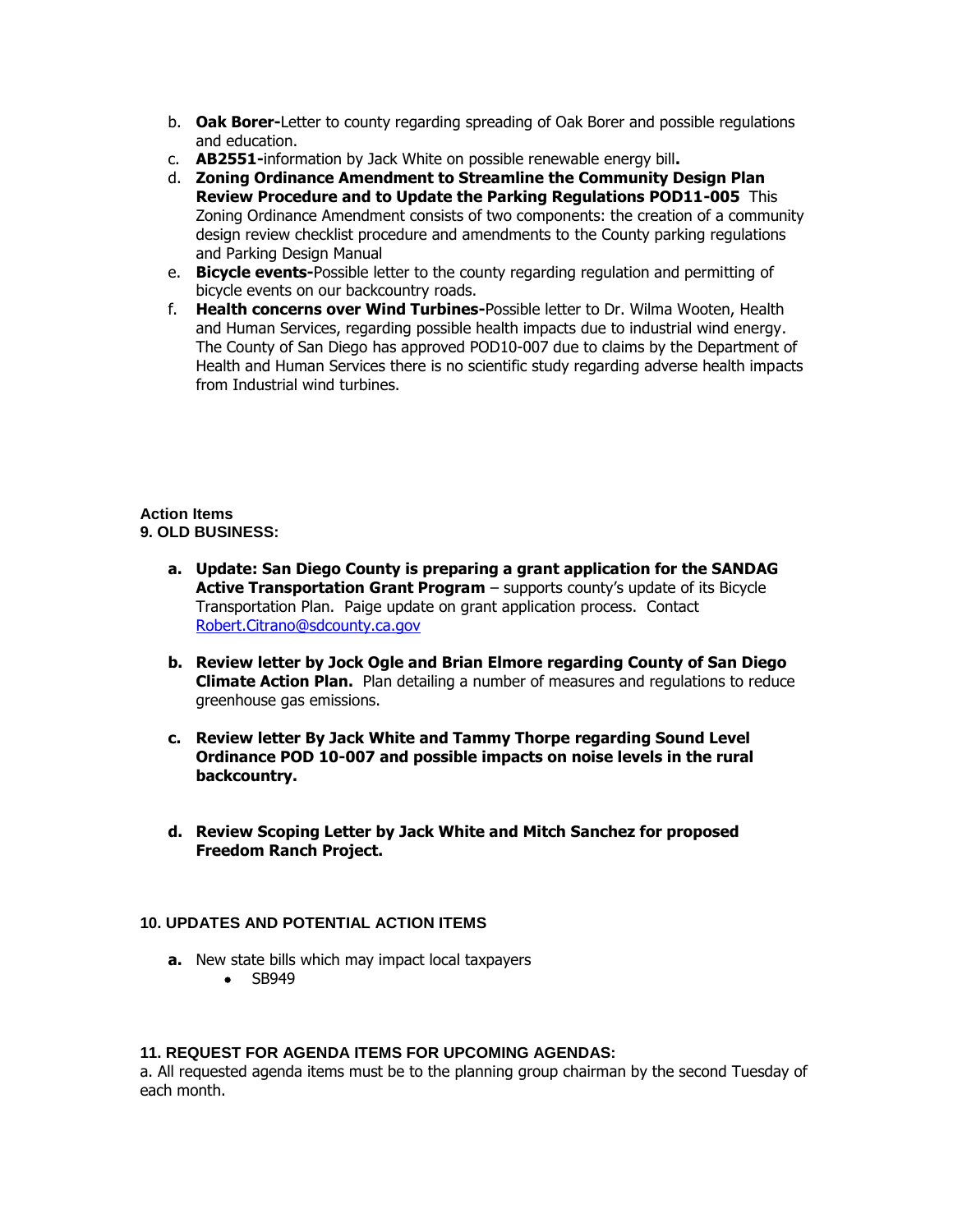- b. **Oak Borer-**Letter to county regarding spreading of Oak Borer and possible regulations and education.
- c. **AB2551-**information by Jack White on possible renewable energy bill**.**
- d. **Zoning Ordinance Amendment to Streamline the Community Design Plan Review Procedure and to Update the Parking Regulations POD11-005** This Zoning Ordinance Amendment consists of two components: the creation of a community design review checklist procedure and amendments to the County parking regulations and Parking Design Manual
- e. **Bicycle events-**Possible letter to the county regarding regulation and permitting of bicycle events on our backcountry roads.
- f. **Health concerns over Wind Turbines-**Possible letter to Dr. Wilma Wooten, Health and Human Services, regarding possible health impacts due to industrial wind energy. The County of San Diego has approved POD10-007 due to claims by the Department of Health and Human Services there is no scientific study regarding adverse health impacts from Industrial wind turbines.

#### **Action Items 9. OLD BUSINESS:**

- **a. Update: San Diego County is preparing a grant application for the SANDAG Active Transportation Grant Program** – supports county's update of its Bicycle Transportation Plan. Paige update on grant application process. Contact [Robert.Citrano@sdcounty.ca.gov](mailto:Robert.Citrano@sdcounty.ca.gov)
- **b. Review letter by Jock Ogle and Brian Elmore regarding County of San Diego Climate Action Plan.** Plan detailing a number of measures and regulations to reduce greenhouse gas emissions.
- **c. Review letter By Jack White and Tammy Thorpe regarding Sound Level Ordinance POD 10-007 and possible impacts on noise levels in the rural backcountry.**
- **d. Review Scoping Letter by Jack White and Mitch Sanchez for proposed Freedom Ranch Project.**

# **10. UPDATES AND POTENTIAL ACTION ITEMS**

- **a.** New state bills which may impact local taxpayers
	- SB949

#### **11. REQUEST FOR AGENDA ITEMS FOR UPCOMING AGENDAS:**

a. All requested agenda items must be to the planning group chairman by the second Tuesday of each month.